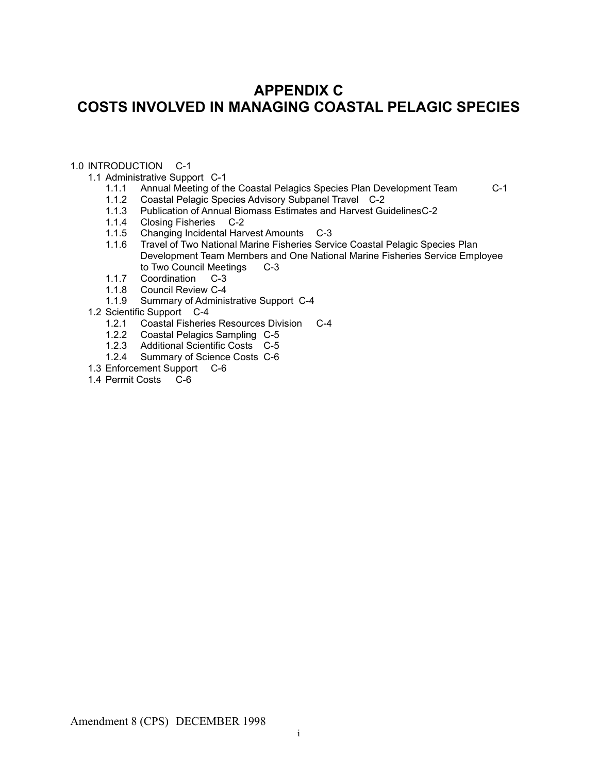# **APPENDIX C COSTS INVOLVED IN MANAGING COASTAL PELAGIC SPECIES**

# 1.0 INTRODUCTION C-1

1.1 Administrative Support C-1

- 1.1.1 Annual Meeting of the Coastal Pelagics Species Plan Development Team C-1
- 1.1.2 Coastal Pelagic Species Advisory Subpanel Travel C-2<br>1.1.3 Publication of Annual Biomass Estimates and Harvest Gu
- 1.1.3 Publication of Annual Biomass Estimates and Harvest GuidelinesC-2<br>1.1.4 Closing Fisheries C-2
- 1.1.4 Closing Fisheries C-2<br>1.1.5 Changing Incidental Har
- 1.1.5 Changing Incidental Harvest Amounts C-3
- Travel of Two National Marine Fisheries Service Coastal Pelagic Species Plan Development Team Members and One National Marine Fisheries Service Employee to Two Council Meetings C-3
- 1.1.7 Coordination C-3
- 1.1.8 Council Review C-4
- 1.1.9 Summary of Administrative Support C-4
- 1.2 Scientific Support C-4
	- 1.2.1 Coastal Fisheries Resources Division C-4
	- 1.2.2 Coastal Pelagics Sampling C-5
	- 1.2.3 Additional Scientific Costs C-5
	- 1.2.4 Summary of Science Costs C-6
- 1.3 Enforcement Support C-6
- 1.4 Permit Costs C-6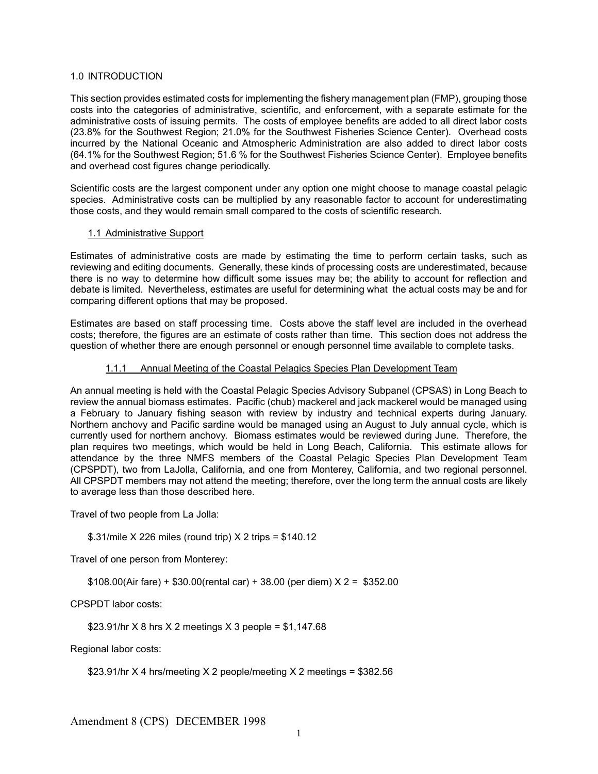# 1.0 INTRODUCTION

This section provides estimated costs for implementing the fishery management plan (FMP), grouping those costs into the categories of administrative, scientific, and enforcement, with a separate estimate for the administrative costs of issuing permits. The costs of employee benefits are added to all direct labor costs (23.8% for the Southwest Region; 21.0% for the Southwest Fisheries Science Center). Overhead costs incurred by the National Oceanic and Atmospheric Administration are also added to direct labor costs (64.1% for the Southwest Region; 51.6 % for the Southwest Fisheries Science Center). Employee benefits and overhead cost figures change periodically.

Scientific costs are the largest component under any option one might choose to manage coastal pelagic species. Administrative costs can be multiplied by any reasonable factor to account for underestimating those costs, and they would remain small compared to the costs of scientific research.

# 1.1 Administrative Support

Estimates of administrative costs are made by estimating the time to perform certain tasks, such as reviewing and editing documents. Generally, these kinds of processing costs are underestimated, because there is no way to determine how difficult some issues may be; the ability to account for reflection and debate is limited. Nevertheless, estimates are useful for determining what the actual costs may be and for comparing different options that may be proposed.

Estimates are based on staff processing time. Costs above the staff level are included in the overhead costs; therefore, the figures are an estimate of costs rather than time. This section does not address the question of whether there are enough personnel or enough personnel time available to complete tasks.

# 1.1.1 Annual Meeting of the Coastal Pelagics Species Plan Development Team

An annual meeting is held with the Coastal Pelagic Species Advisory Subpanel (CPSAS) in Long Beach to review the annual biomass estimates. Pacific (chub) mackerel and jack mackerel would be managed using a February to January fishing season with review by industry and technical experts during January. Northern anchovy and Pacific sardine would be managed using an August to July annual cycle, which is currently used for northern anchovy. Biomass estimates would be reviewed during June. Therefore, the plan requires two meetings, which would be held in Long Beach, California. This estimate allows for attendance by the three NMFS members of the Coastal Pelagic Species Plan Development Team (CPSPDT), two from LaJolla, California, and one from Monterey, California, and two regional personnel. All CPSPDT members may not attend the meeting; therefore, over the long term the annual costs are likely to average less than those described here.

Travel of two people from La Jolla:

\$.31/mile X 226 miles (round trip) X 2 trips = \$140.12

Travel of one person from Monterey:

\$108.00(Air fare) + \$30.00(rental car) + 38.00 (per diem) X 2 = \$352.00

CPSPDT labor costs:

\$23.91/hr X 8 hrs X 2 meetings X 3 people =  $$1,147.68$ 

Regional labor costs:

```
$23.91/hr X 4 hrs/meeting X 2 people/meeting X 2 meetings = $382.56
```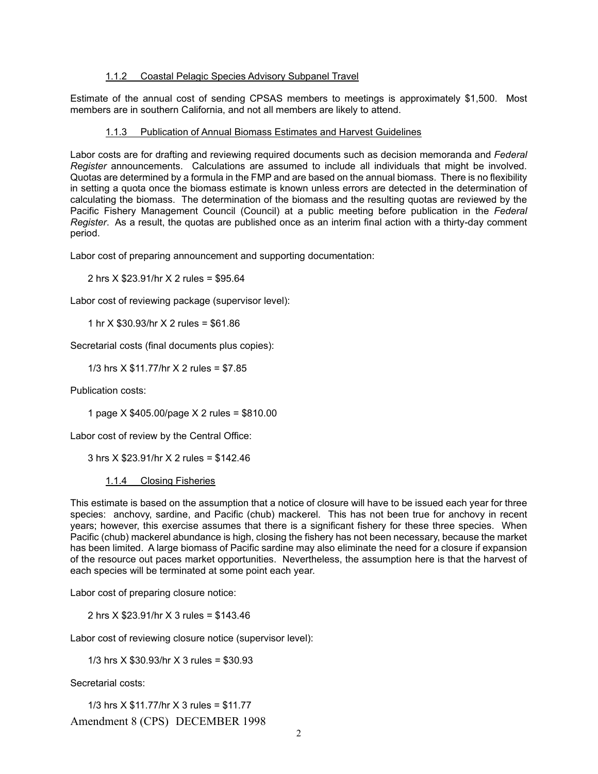#### 1.1.2 Coastal Pelagic Species Advisory Subpanel Travel

Estimate of the annual cost of sending CPSAS members to meetings is approximately \$1,500. Most members are in southern California, and not all members are likely to attend.

# 1.1.3 Publication of Annual Biomass Estimates and Harvest Guidelines

Labor costs are for drafting and reviewing required documents such as decision memoranda and *Federal Register* announcements. Calculations are assumed to include all individuals that might be involved. Quotas are determined by a formula in the FMP and are based on the annual biomass. There is no flexibility in setting a quota once the biomass estimate is known unless errors are detected in the determination of calculating the biomass. The determination of the biomass and the resulting quotas are reviewed by the Pacific Fishery Management Council (Council) at a public meeting before publication in the *Federal Register*. As a result, the quotas are published once as an interim final action with a thirty-day comment period.

Labor cost of preparing announcement and supporting documentation:

2 hrs X \$23.91/hr X 2 rules = \$95.64

Labor cost of reviewing package (supervisor level):

1 hr X \$30.93/hr X 2 rules = \$61.86

Secretarial costs (final documents plus copies):

1/3 hrs X \$11.77/hr X 2 rules = \$7.85

Publication costs:

1 page X \$405.00/page X 2 rules = \$810.00

Labor cost of review by the Central Office:

3 hrs X \$23.91/hr X 2 rules = \$142.46

1.1.4 Closing Fisheries

This estimate is based on the assumption that a notice of closure will have to be issued each year for three species: anchovy, sardine, and Pacific (chub) mackerel. This has not been true for anchovy in recent years; however, this exercise assumes that there is a significant fishery for these three species. When Pacific (chub) mackerel abundance is high, closing the fishery has not been necessary, because the market has been limited. A large biomass of Pacific sardine may also eliminate the need for a closure if expansion of the resource out paces market opportunities. Nevertheless, the assumption here is that the harvest of each species will be terminated at some point each year.

Labor cost of preparing closure notice:

2 hrs X \$23.91/hr X 3 rules = \$143.46

Labor cost of reviewing closure notice (supervisor level):

1/3 hrs X \$30.93/hr X 3 rules = \$30.93

Secretarial costs:

Amendment 8 (CPS) DECEMBER 1998 1/3 hrs X \$11.77/hr X 3 rules = \$11.77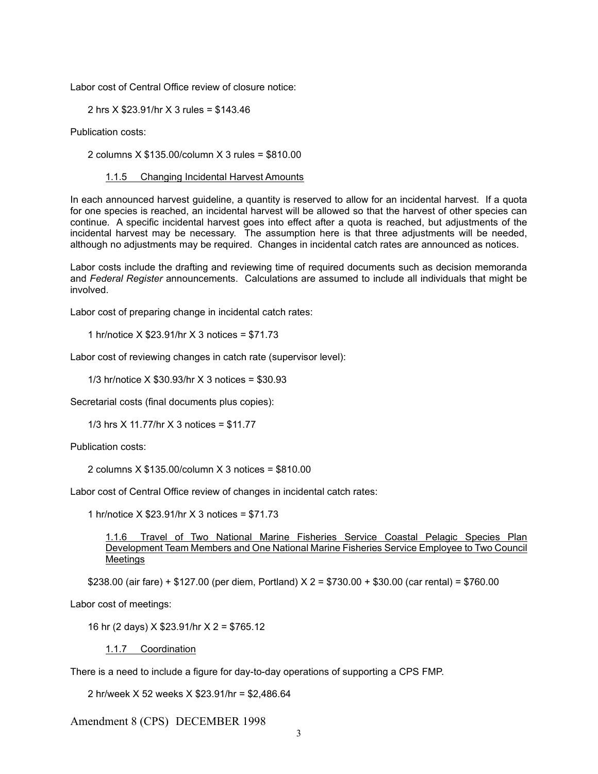Labor cost of Central Office review of closure notice:

2 hrs X \$23.91/hr X 3 rules = \$143.46

Publication costs:

2 columns X \$135.00/column X 3 rules = \$810.00

# 1.1.5 Changing Incidental Harvest Amounts

In each announced harvest guideline, a quantity is reserved to allow for an incidental harvest. If a quota for one species is reached, an incidental harvest will be allowed so that the harvest of other species can continue. A specific incidental harvest goes into effect after a quota is reached, but adjustments of the incidental harvest may be necessary. The assumption here is that three adjustments will be needed, although no adjustments may be required. Changes in incidental catch rates are announced as notices.

Labor costs include the drafting and reviewing time of required documents such as decision memoranda and *Federal Register* announcements. Calculations are assumed to include all individuals that might be involved.

Labor cost of preparing change in incidental catch rates:

1 hr/notice X \$23.91/hr X 3 notices = \$71.73

Labor cost of reviewing changes in catch rate (supervisor level):

1/3 hr/notice X \$30.93/hr X 3 notices = \$30.93

Secretarial costs (final documents plus copies):

1/3 hrs X 11.77/hr X 3 notices = \$11.77

Publication costs:

2 columns X \$135.00/column X 3 notices = \$810.00

Labor cost of Central Office review of changes in incidental catch rates:

1 hr/notice X \$23.91/hr X 3 notices = \$71.73

1.1.6 Travel of Two National Marine Fisheries Service Coastal Pelagic Species Plan Development Team Members and One National Marine Fisheries Service Employee to Two Council Meetings

\$238.00 (air fare) + \$127.00 (per diem, Portland)  $X$  2 = \$730.00 + \$30.00 (car rental) = \$760.00

Labor cost of meetings:

16 hr (2 days) X \$23.91/hr X 2 = \$765.12

1.1.7 Coordination

There is a need to include a figure for day-to-day operations of supporting a CPS FMP.

2 hr/week X 52 weeks X \$23.91/hr = \$2,486.64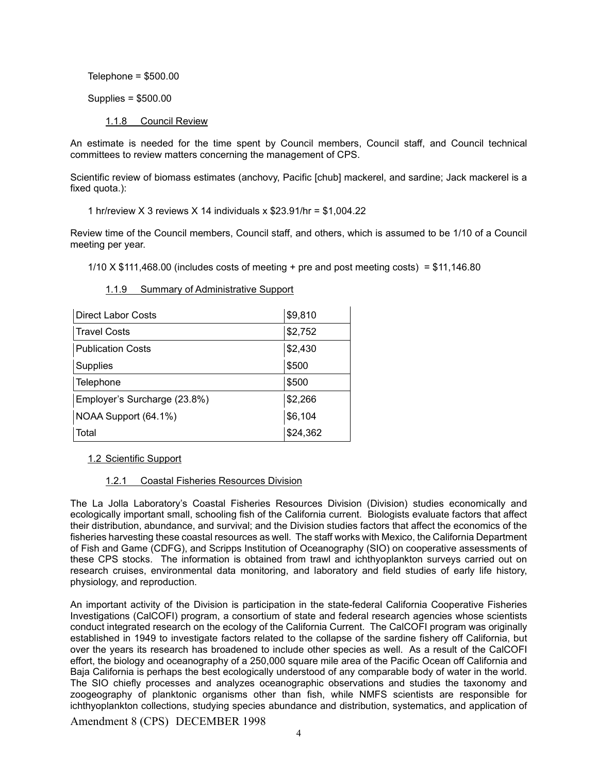Telephone =  $$500.00$ 

Supplies = \$500.00

1.1.8 Council Review

An estimate is needed for the time spent by Council members, Council staff, and Council technical committees to review matters concerning the management of CPS.

Scientific review of biomass estimates (anchovy, Pacific [chub] mackerel, and sardine; Jack mackerel is a fixed quota.):

1 hr/review X 3 reviews X 14 individuals x \$23.91/hr = \$1,004.22

Review time of the Council members, Council staff, and others, which is assumed to be 1/10 of a Council meeting per year.

 $1/10$  X \$111,468.00 (includes costs of meeting + pre and post meeting costs) = \$11,146.80

| Direct Labor Costs           | \$9,810  |
|------------------------------|----------|
| <b>Travel Costs</b>          | \$2,752  |
| <b>Publication Costs</b>     | \$2,430  |
| <b>Supplies</b>              | \$500    |
| Telephone                    | \$500    |
| Employer's Surcharge (23.8%) | \$2,266  |
| NOAA Support (64.1%)         | \$6,104  |
| Total                        | \$24,362 |

#### 1.1.9 Summary of Administrative Support

#### 1.2 Scientific Support

#### 1.2.1 Coastal Fisheries Resources Division

The La Jolla Laboratory's Coastal Fisheries Resources Division (Division) studies economically and ecologically important small, schooling fish of the California current. Biologists evaluate factors that affect their distribution, abundance, and survival; and the Division studies factors that affect the economics of the fisheries harvesting these coastal resources as well. The staff works with Mexico, the California Department of Fish and Game (CDFG), and Scripps Institution of Oceanography (SIO) on cooperative assessments of these CPS stocks. The information is obtained from trawl and ichthyoplankton surveys carried out on research cruises, environmental data monitoring, and laboratory and field studies of early life history, physiology, and reproduction.

An important activity of the Division is participation in the state-federal California Cooperative Fisheries Investigations (CalCOFI) program, a consortium of state and federal research agencies whose scientists conduct integrated research on the ecology of the California Current. The CalCOFI program was originally established in 1949 to investigate factors related to the collapse of the sardine fishery off California, but over the years its research has broadened to include other species as well. As a result of the CalCOFI effort, the biology and oceanography of a 250,000 square mile area of the Pacific Ocean off California and Baja California is perhaps the best ecologically understood of any comparable body of water in the world. The SIO chiefly processes and analyzes oceanographic observations and studies the taxonomy and zoogeography of planktonic organisms other than fish, while NMFS scientists are responsible for ichthyoplankton collections, studying species abundance and distribution, systematics, and application of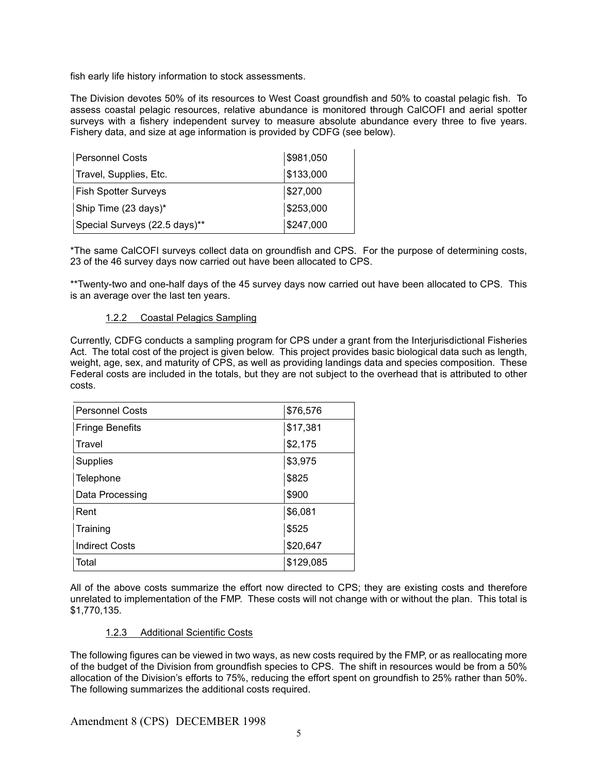fish early life history information to stock assessments.

The Division devotes 50% of its resources to West Coast groundfish and 50% to coastal pelagic fish. To assess coastal pelagic resources, relative abundance is monitored through CalCOFI and aerial spotter surveys with a fishery independent survey to measure absolute abundance every three to five years. Fishery data, and size at age information is provided by CDFG (see below).

| <b>Personnel Costs</b>        | \$981,050 |
|-------------------------------|-----------|
| Travel, Supplies, Etc.        | \$133,000 |
| <b>Fish Spotter Surveys</b>   | \$27,000  |
| Ship Time (23 days)*          | \$253,000 |
| Special Surveys (22.5 days)** | \$247,000 |

\*The same CalCOFI surveys collect data on groundfish and CPS. For the purpose of determining costs, 23 of the 46 survey days now carried out have been allocated to CPS.

\*\*Twenty-two and one-half days of the 45 survey days now carried out have been allocated to CPS. This is an average over the last ten years.

# 1.2.2 Coastal Pelagics Sampling

Currently, CDFG conducts a sampling program for CPS under a grant from the Interjurisdictional Fisheries Act. The total cost of the project is given below. This project provides basic biological data such as length, weight, age, sex, and maturity of CPS, as well as providing landings data and species composition. These Federal costs are included in the totals, but they are not subject to the overhead that is attributed to other costs.

| <b>Personnel Costs</b> | \$76,576  |
|------------------------|-----------|
| <b>Fringe Benefits</b> | \$17,381  |
| Travel                 | \$2,175   |
| Supplies               | \$3,975   |
| Telephone              | \$825     |
| Data Processing        | \$900     |
| Rent                   | \$6,081   |
| Training               | \$525     |
| <b>Indirect Costs</b>  | \$20,647  |
| Total                  | \$129,085 |

All of the above costs summarize the effort now directed to CPS; they are existing costs and therefore unrelated to implementation of the FMP. These costs will not change with or without the plan. This total is \$1,770,135.

#### 1.2.3 Additional Scientific Costs

The following figures can be viewed in two ways, as new costs required by the FMP, or as reallocating more of the budget of the Division from groundfish species to CPS. The shift in resources would be from a 50% allocation of the Division's efforts to 75%, reducing the effort spent on groundfish to 25% rather than 50%. The following summarizes the additional costs required.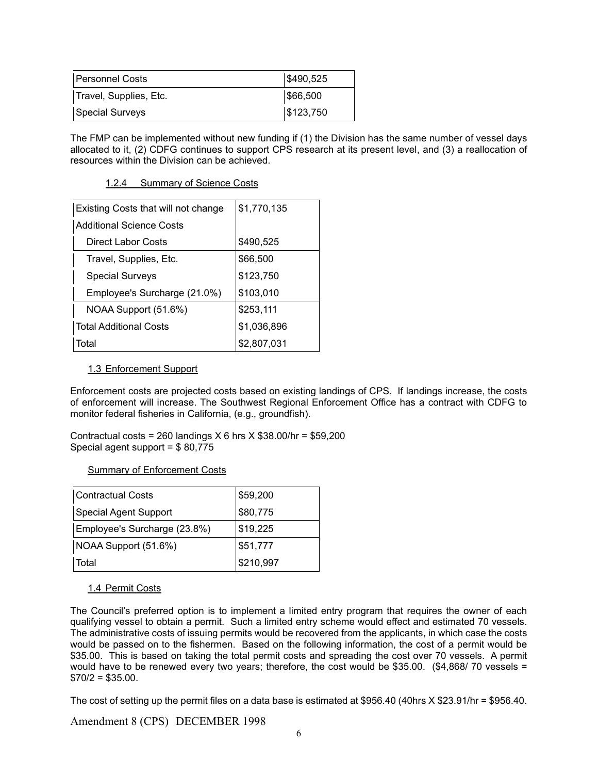| Personnel Costs        | \$490,525 |
|------------------------|-----------|
| Travel, Supplies, Etc. | \$66,500  |
| Special Surveys        | \$123,750 |

The FMP can be implemented without new funding if (1) the Division has the same number of vessel days allocated to it, (2) CDFG continues to support CPS research at its present level, and (3) a reallocation of resources within the Division can be achieved.

# 1.2.4 Summary of Science Costs

| Existing Costs that will not change | \$1,770,135 |
|-------------------------------------|-------------|
| Additional Science Costs            |             |
| Direct Labor Costs                  | \$490,525   |
| Travel, Supplies, Etc.              | \$66,500    |
| <b>Special Surveys</b>              | \$123,750   |
| Employee's Surcharge (21.0%)        | \$103,010   |
| NOAA Support (51.6%)                | \$253,111   |
| <b>Total Additional Costs</b>       | \$1,036,896 |
| Total                               | \$2,807,031 |

# 1.3 Enforcement Support

Enforcement costs are projected costs based on existing landings of CPS. If landings increase, the costs of enforcement will increase. The Southwest Regional Enforcement Office has a contract with CDFG to monitor federal fisheries in California, (e.g., groundfish).

Contractual costs = 260 landings  $X$  6 hrs  $X$  \$38.00/hr = \$59,200 Special agent support = \$ 80,775

#### Summary of Enforcement Costs

| Contractual Costs            | \$59,200  |
|------------------------------|-----------|
| <b>Special Agent Support</b> | \$80,775  |
| Employee's Surcharge (23.8%) | \$19,225  |
| NOAA Support (51.6%)         | \$51,777  |
| Total                        | \$210,997 |

# 1.4 Permit Costs

The Council's preferred option is to implement a limited entry program that requires the owner of each qualifying vessel to obtain a permit. Such a limited entry scheme would effect and estimated 70 vessels. The administrative costs of issuing permits would be recovered from the applicants, in which case the costs would be passed on to the fishermen. Based on the following information, the cost of a permit would be \$35.00. This is based on taking the total permit costs and spreading the cost over 70 vessels. A permit would have to be renewed every two years; therefore, the cost would be \$35.00. (\$4,868/ 70 vessels =  $$70/2 = $35.00.$ 

The cost of setting up the permit files on a data base is estimated at \$956.40 (40hrs X \$23.91/hr = \$956.40.